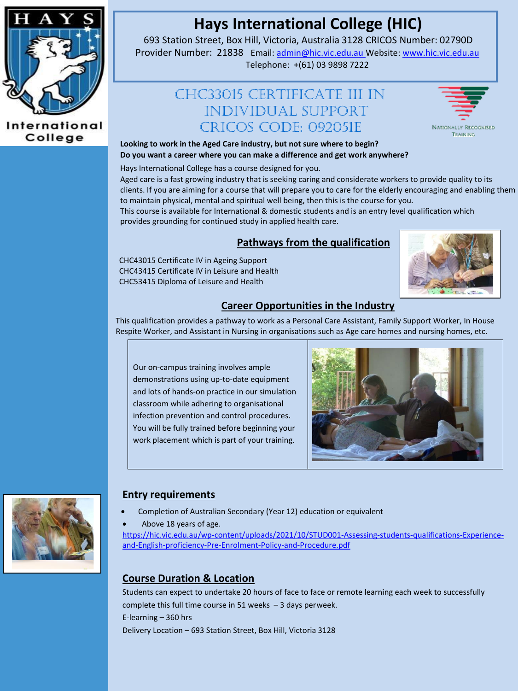

#### International College

# **Hays International College (HIC)**

693 Station Street, Box Hill, Victoria, Australia 3128 CRICOS Number: 02790D Provider Number: 21838 Email[: admin@hic.vic.edu.au](mailto:admin@hic.vic.edu.au) Website[: www.hic.vic.edu.au](http://www.hic.vic.edu.au/) Telephone: +(61) 03 9898 7222

# CHC33015 Certificate III In INDIVIDUAL SUPPORT CRICOS CODE: 092051E



**Looking to work in the Aged Care industry, but not sure where to begin? Do you want a career where you can make a difference and get work anywhere?**

Hays International College has a course designed for you.

Aged care is a fast growing industry that is seeking caring and considerate workers to provide quality to its clients. If you are aiming for a course that will prepare you to care for the elderly encouraging and enabling them to maintain physical, mental and spiritual well being, then this is the course for you.

This course is available for International & domestic students and is an entry level qualification which provides grounding for continued study in applied health care.

#### **Pathways from the qualification**

CHC43015 Certificate IV in Ageing Support CHC43415 Certificate IV in Leisure and Health CHC53415 Diploma of Leisure and Health



#### **Career Opportunities in the Industry**

This qualification provides a pathway to work as a Personal Care Assistant, Family Support Worker, In House Respite Worker, and Assistant in Nursing in organisations such as Age care homes and nursing homes, etc.

Our on-campus training involves ample demonstrations using up-to-date equipment and lots of hands-on practice in our simulation classroom while adhering to organisational infection prevention and control procedures. You will be fully trained before beginning your work placement which is part of your training.





#### **Entry requirements**

Completion of Australian Secondary (Year 12) education or equivalent

Above 18 years of age.

[https://hic.vic.edu.au/wp-content/uploads/2021/10/STUD001-Assessing-students-qualifications-Experience](https://hic.vic.edu.au/wp-content/uploads/2021/10/STUD001-Assessing-students-qualifications-Experience-and-English-proficiency-Pre-Enrolment-Policy-and-Procedure.pdf)[and-English-proficiency-Pre-Enrolment-Policy-and-Procedure.pdf](https://hic.vic.edu.au/wp-content/uploads/2021/10/STUD001-Assessing-students-qualifications-Experience-and-English-proficiency-Pre-Enrolment-Policy-and-Procedure.pdf)

# **Course Duration & Location**

Students can expect to undertake 20 hours of face to face or remote learning each week to successfully complete this full time course in 51 weeks – 3 days perweek. E-learning – 360 hrs Delivery Location – 693 Station Street, Box Hill, Victoria 3128